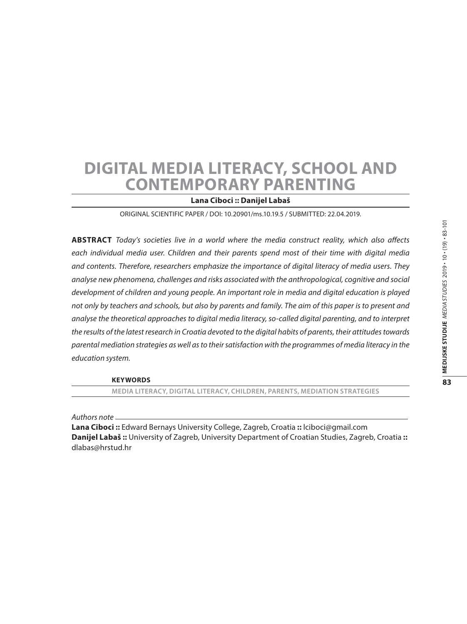# **Digital Media Literacy, School and Contemporary Parenting**

## **Lana Ciboci :: Danijel Labaš**

ORIGINAL SCIENTIFIC PAPER / DOI: 10.20901/ms.10.19.5 / SUBMITTED: 22.04.2019.

**Abstract** *Today's societies live in a world where the media construct reality, which also affects*  each individual media user. Children and their parents spend most of their time with digital media *and contents. Therefore, researchers emphasize the importance of digital literacy of media users. They analyse new phenomena, challenges and risks associated with the anthropological, cognitive and social development of children and young people. An important role in media and digital education is played not only by teachers and schools, but also by parents and family. The aim of this paper is to present and analyse the theoretical approaches to digital media literacy, so-called digital parenting, and to interpret the results of the latest research in Croatia devoted to the digital habits of parents, their attitudes towards parental mediation strategies as well as to their satisfaction with the programmes of media literacy in the education system.*

**Keywords**

**media literacy, digital literacy, children, parents, mediation strategies**

*Authors note*

**Lana Ciboci ::** Edward Bernays University College, Zagreb, Croatia **::** lciboci@gmail.com **Danijel Labaš ::** University of Zagreb, University Department of Croatian Studies, Zagreb, Croatia **::** dlabas@hrstud.hr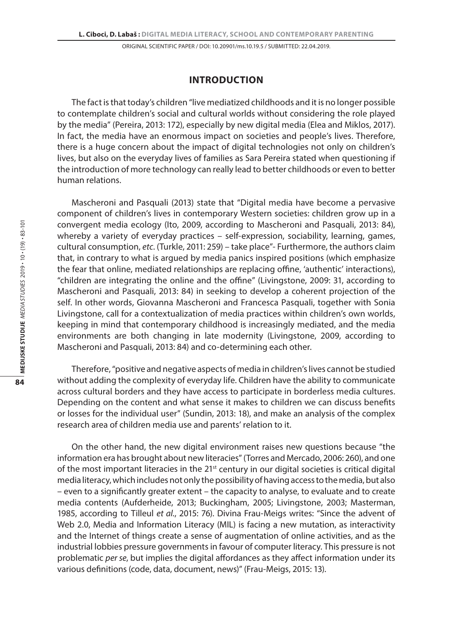# **Introduction**

The fact is that today's children "live mediatized childhoods and it is no longer possible to contemplate children's social and cultural worlds without considering the role played by the media" (Pereira, 2013: 172), especially by new digital media (Elea and Miklos, 2017). In fact, the media have an enormous impact on societies and people's lives. Therefore, there is a huge concern about the impact of digital technologies not only on children's lives, but also on the everyday lives of families as Sara Pereira stated when questioning if the introduction of more technology can really lead to better childhoods or even to better human relations.

Mascheroni and Pasquali (2013) state that "Digital media have become a pervasive component of children's lives in contemporary Western societies: children grow up in a convergent media ecology (Ito, 2009, according to Mascheroni and Pasquali, 2013: 84), whereby a variety of everyday practices – self-expression, sociability, learning, games, cultural consumption, *etc*. (Turkle, 2011: 259) – take place"- Furthermore, the authors claim that, in contrary to what is argued by media panics inspired positions (which emphasize the fear that online, mediated relationships are replacing offine, 'authentic' interactions), "children are integrating the online and the offine" (Livingstone, 2009: 31, according to Mascheroni and Pasquali, 2013: 84) in seeking to develop a coherent projection of the self. In other words, Giovanna Mascheroni and Francesca Pasquali, together with Sonia Livingstone, call for a contextualization of media practices within children's own worlds, keeping in mind that contemporary childhood is increasingly mediated, and the media environments are both changing in late modernity (Livingstone, 2009, according to Mascheroni and Pasquali, 2013: 84) and co-determining each other.

Therefore, "positive and negative aspects of media in children's lives cannot be studied without adding the complexity of everyday life. Children have the ability to communicate across cultural borders and they have access to participate in borderless media cultures. Depending on the content and what sense it makes to children we can discuss benefits or losses for the individual user" (Sundin, 2013: 18), and make an analysis of the complex research area of children media use and parents' relation to it.

On the other hand, the new digital environment raises new questions because "the information era has brought about new literacies" (Torres and Mercado, 2006: 260), and one of the most important literacies in the 21<sup>st</sup> century in our digital societies is critical digital media literacy, which includes not only the possibility of having access to the media, but also – even to a significantly greater extent – the capacity to analyse, to evaluate and to create media contents (Aufderheide, 2013; Buckingham, 2005; Livingstone, 2003; Masterman, 1985, according to Tilleul *et al.*, 2015: 76). Divina Frau-Meigs writes: "Since the advent of Web 2.0, Media and Information Literacy (MIL) is facing a new mutation, as interactivity and the Internet of things create a sense of augmentation of online activities, and as the industrial lobbies pressure governments in favour of computer literacy. This pressure is not problematic *per se*, but implies the digital affordances as they affect information under its various definitions (code, data, document, news)" (Frau-Meigs, 2015: 13).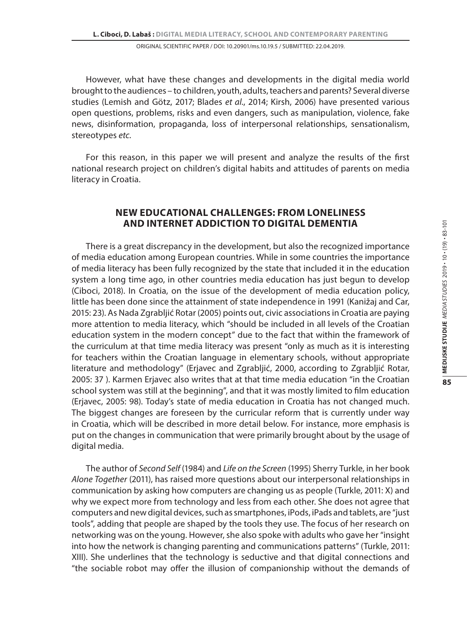However, what have these changes and developments in the digital media world brought to the audiences – to children, youth, adults, teachers and parents? Several diverse studies (Lemish and Götz, 2017; Blades *et al*., 2014; Kirsh, 2006) have presented various open questions, problems, risks and even dangers, such as manipulation, violence, fake news, disinformation, propaganda, loss of interpersonal relationships, sensationalism, stereotypes *etc*.

For this reason, in this paper we will present and analyze the results of the first national research project on children's digital habits and attitudes of parents on media literacy in Croatia.

# **New Educational Challenges: From Loneliness and Internet Addiction to Digital Dementia**

There is a great discrepancy in the development, but also the recognized importance of media education among European countries. While in some countries the importance of media literacy has been fully recognized by the state that included it in the education system a long time ago, in other countries media education has just begun to develop (Ciboci, 2018). In Croatia, on the issue of the development of media education policy, little has been done since the attainment of state independence in 1991 (Kanižaj and Car, 2015: 23). As Nada Zgrabljić Rotar (2005) points out, civic associations in Croatia are paying more attention to media literacy, which "should be included in all levels of the Croatian education system in the modern concept" due to the fact that within the framework of the curriculum at that time media literacy was present "only as much as it is interesting for teachers within the Croatian language in elementary schools, without appropriate literature and methodology" (Erjavec and Zgrabljić, 2000, according to Zgrabljić Rotar, 2005: 37 ). Karmen Erjavec also writes that at that time media education "in the Croatian school system was still at the beginning", and that it was mostly limited to film education (Erjavec, 2005: 98). Today's state of media education in Croatia has not changed much. The biggest changes are foreseen by the curricular reform that is currently under way in Croatia, which will be described in more detail below. For instance, more emphasis is put on the changes in communication that were primarily brought about by the usage of digital media.

The author of *Second Self* (1984) and *Life on the Screen* (1995) Sherry Turkle, in her book *Alone Together* (2011), has raised more questions about our interpersonal relationships in communication by asking how computers are changing us as people (Turkle, 2011: X) and why we expect more from technology and less from each other. She does not agree that computers and new digital devices, such as smartphones, iPods, iPads and tablets, are "just tools", adding that people are shaped by the tools they use. The focus of her research on networking was on the young. However, she also spoke with adults who gave her "insight into how the network is changing parenting and communications patterns" (Turkle, 2011: XIII). She underlines that the technology is seductive and that digital connections and "the sociable robot may offer the illusion of companionship without the demands of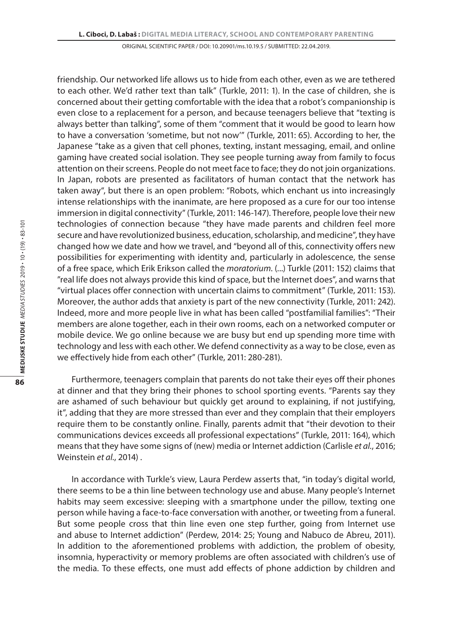friendship. Our networked life allows us to hide from each other, even as we are tethered to each other. We'd rather text than talk" (Turkle, 2011: 1). In the case of children, she is concerned about their getting comfortable with the idea that a robot's companionship is even close to a replacement for a person, and because teenagers believe that "texting is always better than talking", some of them "comment that it would be good to learn how to have a conversation 'sometime, but not now'" (Turkle, 2011: 65). According to her, the Japanese "take as a given that cell phones, texting, instant messaging, email, and online gaming have created social isolation. They see people turning away from family to focus attention on their screens. People do not meet face to face; they do not join organizations. In Japan, robots are presented as facilitators of human contact that the network has taken away", but there is an open problem: "Robots, which enchant us into increasingly intense relationships with the inanimate, are here proposed as a cure for our too intense immersion in digital connectivity" (Turkle, 2011: 146-147). Therefore, people love their new technologies of connection because "they have made parents and children feel more secure and have revolutionized business, education, scholarship, and medicine", they have changed how we date and how we travel, and "beyond all of this, connectivity offers new possibilities for experimenting with identity and, particularly in adolescence, the sense of a free space, which Erik Erikson called the *moratorium*. (...) Turkle (2011: 152) claims that "real life does not always provide this kind of space, but the Internet does", and warns that "virtual places offer connection with uncertain claims to commitment" (Turkle, 2011: 153). Moreover, the author adds that anxiety is part of the new connectivity (Turkle, 2011: 242). Indeed, more and more people live in what has been called "postfamilial families": "Their members are alone together, each in their own rooms, each on a networked computer or mobile device. We go online because we are busy but end up spending more time with technology and less with each other. We defend connectivity as a way to be close, even as we effectively hide from each other" (Turkle, 2011: 280-281).

Furthermore, teenagers complain that parents do not take their eyes off their phones at dinner and that they bring their phones to school sporting events. "Parents say they are ashamed of such behaviour but quickly get around to explaining, if not justifying, it", adding that they are more stressed than ever and they complain that their employers require them to be constantly online. Finally, parents admit that "their devotion to their communications devices exceeds all professional expectations" (Turkle, 2011: 164), which means that they have some signs of (new) media or Internet addiction (Carlisle *et al.*, 2016; Weinstein *et al.*, 2014) .

In accordance with Turkle's view, Laura Perdew asserts that, "in today's digital world, there seems to be a thin line between technology use and abuse. Many people's Internet habits may seem excessive: sleeping with a smartphone under the pillow, texting one person while having a face-to-face conversation with another, or tweeting from a funeral. But some people cross that thin line even one step further, going from Internet use and abuse to Internet addiction" (Perdew, 2014: 25; Young and Nabuco de Abreu, 2011). In addition to the aforementioned problems with addiction, the problem of obesity, insomnia, hyperactivity or memory problems are often associated with children's use of the media. To these effects, one must add effects of phone addiction by children and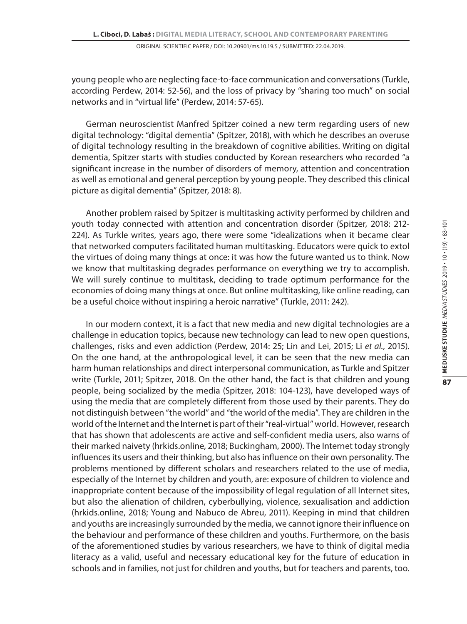young people who are neglecting face-to-face communication and conversations (Turkle, according Perdew, 2014: 52-56), and the loss of privacy by "sharing too much" on social networks and in "virtual life" (Perdew, 2014: 57-65).

German neuroscientist Manfred Spitzer coined a new term regarding users of new digital technology: "digital dementia" (Spitzer, 2018), with which he describes an overuse of digital technology resulting in the breakdown of cognitive abilities. Writing on digital dementia, Spitzer starts with studies conducted by Korean researchers who recorded "a significant increase in the number of disorders of memory, attention and concentration as well as emotional and general perception by young people. They described this clinical picture as digital dementia" (Spitzer, 2018: 8).

Another problem raised by Spitzer is multitasking activity performed by children and youth today connected with attention and concentration disorder (Spitzer, 2018: 212- 224). As Turkle writes, years ago, there were some "idealizations when it became clear that networked computers facilitated human multitasking. Educators were quick to extol the virtues of doing many things at once: it was how the future wanted us to think. Now we know that multitasking degrades performance on everything we try to accomplish. We will surely continue to multitask, deciding to trade optimum performance for the economies of doing many things at once. But online multitasking, like online reading, can be a useful choice without inspiring a heroic narrative" (Turkle, 2011: 242).

In our modern context, it is a fact that new media and new digital technologies are a challenge in education topics, because new technology can lead to new open questions, challenges, risks and even addiction (Perdew, 2014: 25; Lin and Lei, 2015; Li *et al.*, 2015). On the one hand, at the anthropological level, it can be seen that the new media can harm human relationships and direct interpersonal communication, as Turkle and Spitzer write (Turkle, 2011; Spitzer, 2018. On the other hand, the fact is that children and young people, being socialized by the media (Spitzer, 2018: 104-123), have developed ways of using the media that are completely different from those used by their parents. They do not distinguish between "the world" and "the world of the media". They are children in the world of the Internet and the Internet is part of their "real-virtual" world. However, research that has shown that adolescents are active and self-confident media users, also warns of their marked naivety (hrkids.online, 2018; Buckingham, 2000). The Internet today strongly influences its users and their thinking, but also has influence on their own personality. The problems mentioned by different scholars and researchers related to the use of media, especially of the Internet by children and youth, are: exposure of children to violence and inappropriate content because of the impossibility of legal regulation of all Internet sites, but also the alienation of children, cyberbullying, violence, sexualisation and addiction (hrkids.online, 2018; Young and Nabuco de Abreu, 2011). Keeping in mind that children and youths are increasingly surrounded by the media, we cannot ignore their influence on the behaviour and performance of these children and youths. Furthermore, on the basis of the aforementioned studies by various researchers, we have to think of digital media literacy as a valid, useful and necessary educational key for the future of education in schools and in families, not just for children and youths, but for teachers and parents, too.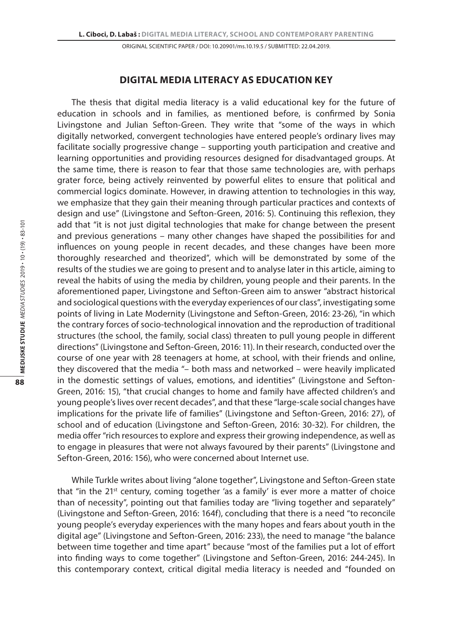# **Digital Media Literacy as Education Key**

The thesis that digital media literacy is a valid educational key for the future of education in schools and in families, as mentioned before, is confirmed by Sonia Livingstone and Julian Sefton-Green. They write that "some of the ways in which digitally networked, convergent technologies have entered people's ordinary lives may facilitate socially progressive change – supporting youth participation and creative and learning opportunities and providing resources designed for disadvantaged groups. At the same time, there is reason to fear that those same technologies are, with perhaps grater force, being actively reinvented by powerful elites to ensure that political and commercial logics dominate. However, in drawing attention to technologies in this way, we emphasize that they gain their meaning through particular practices and contexts of design and use" (Livingstone and Sefton-Green, 2016: 5). Continuing this reflexion, they add that "it is not just digital technologies that make for change between the present and previous generations – many other changes have shaped the possibilities for and influences on young people in recent decades, and these changes have been more thoroughly researched and theorized", which will be demonstrated by some of the results of the studies we are going to present and to analyse later in this article, aiming to reveal the habits of using the media by children, young people and their parents. In the aforementioned paper, Livingstone and Sefton-Green aim to answer "abstract historical and sociological questions with the everyday experiences of our class", investigating some points of living in Late Modernity (Livingstone and Sefton-Green, 2016: 23-26), "in which the contrary forces of socio-technological innovation and the reproduction of traditional structures (the school, the family, social class) threaten to pull young people in different directions" (Livingstone and Sefton-Green, 2016: 11). In their research, conducted over the course of one year with 28 teenagers at home, at school, with their friends and online, they discovered that the media "– both mass and networked – were heavily implicated in the domestic settings of values, emotions, and identities" (Livingstone and Sefton-Green, 2016: 15), "that crucial changes to home and family have affected children's and young people's lives over recent decades", and that these "large-scale social changes have implications for the private life of families" (Livingstone and Sefton-Green, 2016: 27), of school and of education (Livingstone and Sefton-Green, 2016: 30-32). For children, the media offer "rich resources to explore and express their growing independence, as well as to engage in pleasures that were not always favoured by their parents" (Livingstone and Sefton-Green, 2016: 156), who were concerned about Internet use.

While Turkle writes about living "alone together", Livingstone and Sefton-Green state that "in the 21st century, coming together 'as a family' is ever more a matter of choice than of necessity", pointing out that families today are "living together and separately" (Livingstone and Sefton-Green, 2016: 164f), concluding that there is a need "to reconcile young people's everyday experiences with the many hopes and fears about youth in the digital age" (Livingstone and Sefton-Green, 2016: 233), the need to manage "the balance between time together and time apart" because "most of the families put a lot of effort into finding ways to come together" (Livingstone and Sefton-Green, 2016: 244-245). In this contemporary context, critical digital media literacy is needed and "founded on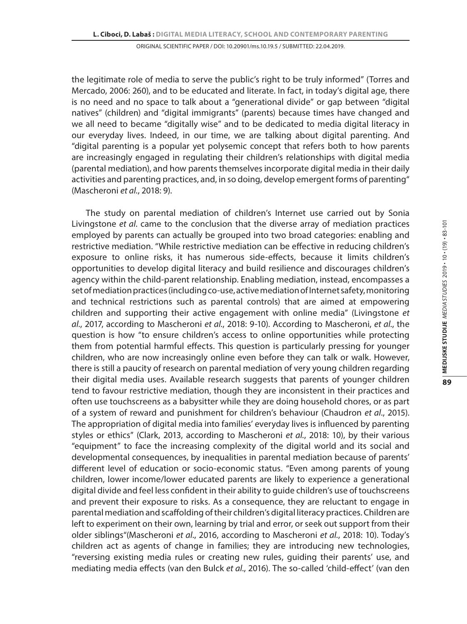the legitimate role of media to serve the public's right to be truly informed" (Torres and Mercado, 2006: 260), and to be educated and literate. In fact, in today's digital age, there is no need and no space to talk about a "generational divide" or gap between "digital natives" (children) and "digital immigrants" (parents) because times have changed and we all need to became "digitally wise" and to be dedicated to media digital literacy in our everyday lives. Indeed, in our time, we are talking about digital parenting. And "digital parenting is a popular yet polysemic concept that refers both to how parents are increasingly engaged in regulating their children's relationships with digital media (parental mediation), and how parents themselves incorporate digital media in their daily activities and parenting practices, and, in so doing, develop emergent forms of parenting" (Mascheroni *et al.*, 2018: 9).

The study on parental mediation of children's Internet use carried out by Sonia Livingstone *et al*. came to the conclusion that the diverse array of mediation practices employed by parents can actually be grouped into two broad categories: enabling and restrictive mediation. "While restrictive mediation can be effective in reducing children's exposure to online risks, it has numerous side-effects, because it limits children's opportunities to develop digital literacy and build resilience and discourages children's agency within the child-parent relationship. Enabling mediation, instead, encompasses a set of mediation practices (including co-use, active mediation of Internet safety, monitoring and technical restrictions such as parental controls) that are aimed at empowering children and supporting their active engagement with online media" (Livingstone *et al*., 2017, according to Mascheroni *et al.*, 2018: 9-10). According to Mascheroni, *et al.*, the question is how "to ensure children's access to online opportunities while protecting them from potential harmful effects. This question is particularly pressing for younger children, who are now increasingly online even before they can talk or walk. However, there is still a paucity of research on parental mediation of very young children regarding their digital media uses. Available research suggests that parents of younger children tend to favour restrictive mediation, though they are inconsistent in their practices and often use touchscreens as a babysitter while they are doing household chores, or as part of a system of reward and punishment for children's behaviour (Chaudron *et al*., 2015). The appropriation of digital media into families' everyday lives is influenced by parenting styles or ethics" (Clark, 2013, according to Mascheroni *et al.*, 2018: 10), by their various "equipment" to face the increasing complexity of the digital world and its social and developmental consequences, by inequalities in parental mediation because of parents' different level of education or socio-economic status. "Even among parents of young children, lower income/lower educated parents are likely to experience a generational digital divide and feel less confident in their ability to guide children's use of touchscreens and prevent their exposure to risks. As a consequence, they are reluctant to engage in parental mediation and scaffolding of their children's digital literacy practices. Children are left to experiment on their own, learning by trial and error, or seek out support from their older siblings"(Mascheroni *et al*., 2016, according to Mascheroni *et al.*, 2018: 10). Today's children act as agents of change in families; they are introducing new technologies, "reversing existing media rules or creating new rules, guiding their parents' use, and mediating media effects (van den Bulck *et al*., 2016). The so-called 'child-effect' (van den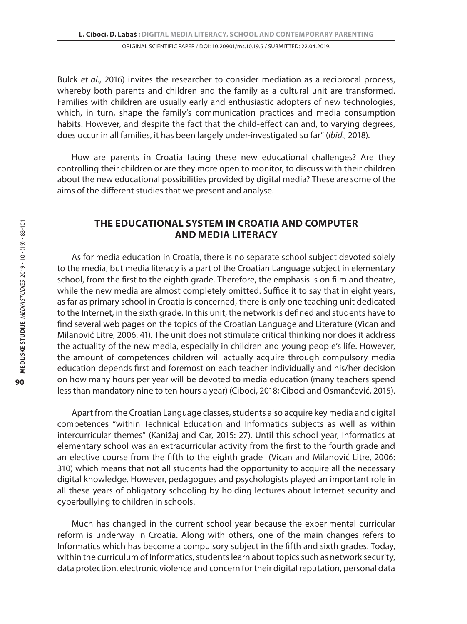Bulck *et al*., 2016) invites the researcher to consider mediation as a reciprocal process, whereby both parents and children and the family as a cultural unit are transformed. Families with children are usually early and enthusiastic adopters of new technologies, which, in turn, shape the family's communication practices and media consumption habits. However, and despite the fact that the child-effect can and, to varying degrees, does occur in all families, it has been largely under-investigated so far" (*ibid.*, 2018).

How are parents in Croatia facing these new educational challenges? Are they controlling their children or are they more open to monitor, to discuss with their children about the new educational possibilities provided by digital media? These are some of the aims of the different studies that we present and analyse.

# **The educational system in Croatia and computer and media literacy**

As for media education in Croatia, there is no separate school subject devoted solely to the media, but media literacy is a part of the Croatian Language subject in elementary school, from the first to the eighth grade. Therefore, the emphasis is on film and theatre, while the new media are almost completely omitted. Suffice it to say that in eight years, as far as primary school in Croatia is concerned, there is only one teaching unit dedicated to the Internet, in the sixth grade. In this unit, the network is defined and students have to find several web pages on the topics of the Croatian Language and Literature (Vican and Milanović Litre, 2006: 41). The unit does not stimulate critical thinking nor does it address the actuality of the new media, especially in children and young people's life. However, the amount of competences children will actually acquire through compulsory media education depends first and foremost on each teacher individually and his/her decision on how many hours per year will be devoted to media education (many teachers spend less than mandatory nine to ten hours a year) (Ciboci, 2018; Ciboci and Osmančević, 2015).

Apart from the Croatian Language classes, students also acquire key media and digital competences "within Technical Education and Informatics subjects as well as within intercurricular themes" (Kanižaj and Car, 2015: 27). Until this school year, Informatics at elementary school was an extracurricular activity from the first to the fourth grade and an elective course from the fifth to the eighth grade (Vican and Milanović Litre, 2006: 310) which means that not all students had the opportunity to acquire all the necessary digital knowledge. However, pedagogues and psychologists played an important role in all these years of obligatory schooling by holding lectures about Internet security and cyberbullying to children in schools.

Much has changed in the current school year because the experimental curricular reform is underway in Croatia. Along with others, one of the main changes refers to Informatics which has become a compulsory subject in the fifth and sixth grades. Today, within the curriculum of Informatics, students learn about topics such as network security, data protection, electronic violence and concern for their digital reputation, personal data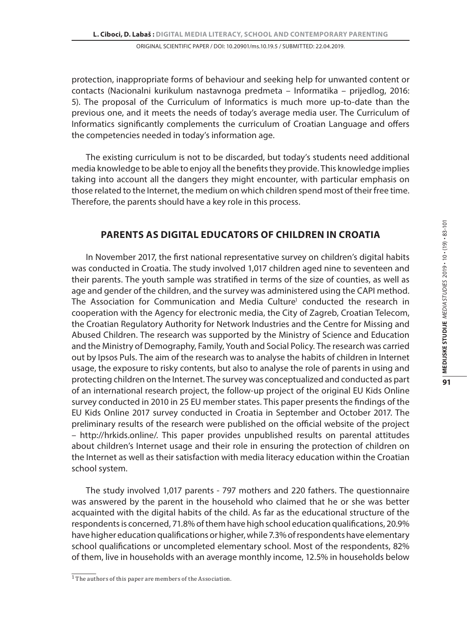protection, inappropriate forms of behaviour and seeking help for unwanted content or contacts (Nacionalni kurikulum nastavnoga predmeta – Informatika – prijedlog, 2016: 5). The proposal of the Curriculum of Informatics is much more up-to-date than the previous one, and it meets the needs of today's average media user. The Curriculum of Informatics significantly complements the curriculum of Croatian Language and offers the competencies needed in today's information age.

The existing curriculum is not to be discarded, but today's students need additional media knowledge to be able to enjoy all the benefits they provide. This knowledge implies taking into account all the dangers they might encounter, with particular emphasis on those related to the Internet, the medium on which children spend most of their free time. Therefore, the parents should have a key role in this process.

# **Parents as Digital Educators of Children in Croatia**

In November 2017, the first national representative survey on children's digital habits was conducted in Croatia. The study involved 1,017 children aged nine to seventeen and their parents. The youth sample was stratified in terms of the size of counties, as well as age and gender of the children, and the survey was administered using the CAPI method. The Association for Communication and Media Culture<sup>1</sup> conducted the research in cooperation with the Agency for electronic media, the City of Zagreb, Croatian Telecom, the Croatian Regulatory Authority for Network Industries and the Centre for Missing and Abused Children. The research was supported by the Ministry of Science and Education and the Ministry of Demography, Family, Youth and Social Policy. The research was carried out by Ipsos Puls. The aim of the research was to analyse the habits of children in Internet usage, the exposure to risky contents, but also to analyse the role of parents in using and protecting children on the Internet. The survey was conceptualized and conducted as part of an international research project, the follow-up project of the original EU Kids Online survey conducted in 2010 in 25 EU member states. This paper presents the findings of the EU Kids Online 2017 survey conducted in Croatia in September and October 2017. The preliminary results of the research were published on the official website of the project – http://hrkids.online/. This paper provides unpublished results on parental attitudes about children's Internet usage and their role in ensuring the protection of children on the Internet as well as their satisfaction with media literacy education within the Croatian school system.

The study involved 1,017 parents - 797 mothers and 220 fathers. The questionnaire was answered by the parent in the household who claimed that he or she was better acquainted with the digital habits of the child. As far as the educational structure of the respondents is concerned, 71.8% of them have high school education qualifications, 20.9% have higher education qualifications or higher, while 7.3% of respondents have elementary school qualifications or uncompleted elementary school. Most of the respondents, 82% of them, live in households with an average monthly income, 12.5% in households below

<sup>&</sup>lt;sup>1</sup> The authors of this paper are members of the Association.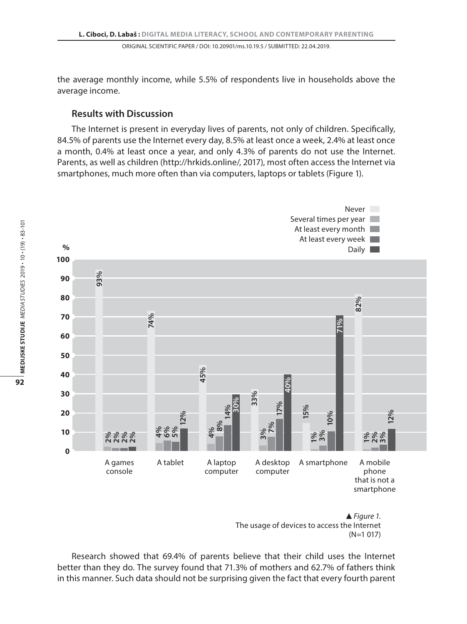the average monthly income, while 5.5% of respondents live in households above the average income.

# **Results with Discussion**

The Internet is present in everyday lives of parents, not only of children. Specifically, 84.5% of parents use the Internet every day, 8.5% at least once a week, 2.4% at least once a month, 0.4% at least once a year, and only 4.3% of parents do not use the Internet. Parents, as well as children (http://hrkids.online/, 2017), most often access the Internet via smartphones, much more often than via computers, laptops or tablets (Figure 1).



*Figure 1.* The usage of devices to access the Internet (N=1 017)

Research showed that 69.4% of parents believe that their child uses the Internet better than they do. The survey found that 71.3% of mothers and 62.7% of fathers think in this manner. Such data should not be surprising given the fact that every fourth parent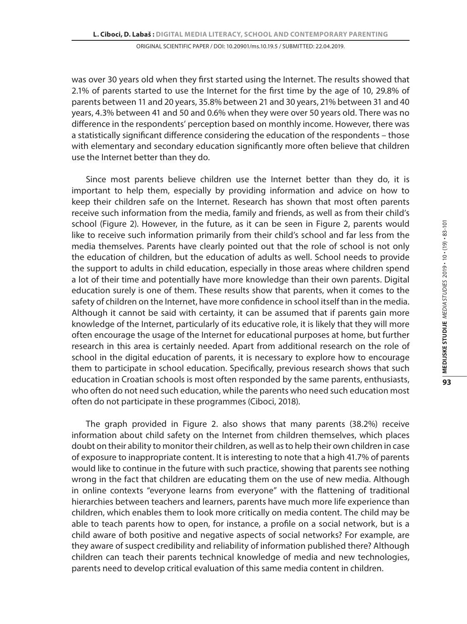was over 30 years old when they first started using the Internet. The results showed that 2.1% of parents started to use the Internet for the first time by the age of 10, 29.8% of parents between 11 and 20 years, 35.8% between 21 and 30 years, 21% between 31 and 40 years, 4.3% between 41 and 50 and 0.6% when they were over 50 years old. There was no difference in the respondents' perception based on monthly income. However, there was a statistically significant difference considering the education of the respondents – those with elementary and secondary education significantly more often believe that children use the Internet better than they do.

Since most parents believe children use the Internet better than they do, it is important to help them, especially by providing information and advice on how to keep their children safe on the Internet. Research has shown that most often parents receive such information from the media, family and friends, as well as from their child's school (Figure 2). However, in the future, as it can be seen in Figure 2, parents would like to receive such information primarily from their child's school and far less from the media themselves. Parents have clearly pointed out that the role of school is not only the education of children, but the education of adults as well. School needs to provide the support to adults in child education, especially in those areas where children spend a lot of their time and potentially have more knowledge than their own parents. Digital education surely is one of them. These results show that parents, when it comes to the safety of children on the Internet, have more confidence in school itself than in the media. Although it cannot be said with certainty, it can be assumed that if parents gain more knowledge of the Internet, particularly of its educative role, it is likely that they will more often encourage the usage of the Internet for educational purposes at home, but further research in this area is certainly needed. Apart from additional research on the role of school in the digital education of parents, it is necessary to explore how to encourage them to participate in school education. Specifically, previous research shows that such education in Croatian schools is most often responded by the same parents, enthusiasts, who often do not need such education, while the parents who need such education most often do not participate in these programmes (Ciboci, 2018).

The graph provided in Figure 2. also shows that many parents (38.2%) receive information about child safety on the Internet from children themselves, which places doubt on their ability to monitor their children, as well as to help their own children in case of exposure to inappropriate content. It is interesting to note that a high 41.7% of parents would like to continue in the future with such practice, showing that parents see nothing wrong in the fact that children are educating them on the use of new media. Although in online contexts "everyone learns from everyone" with the flattening of traditional hierarchies between teachers and learners, parents have much more life experience than children, which enables them to look more critically on media content. The child may be able to teach parents how to open, for instance, a profile on a social network, but is a child aware of both positive and negative aspects of social networks? For example, are they aware of suspect credibility and reliability of information published there? Although children can teach their parents technical knowledge of media and new technologies, parents need to develop critical evaluation of this same media content in children.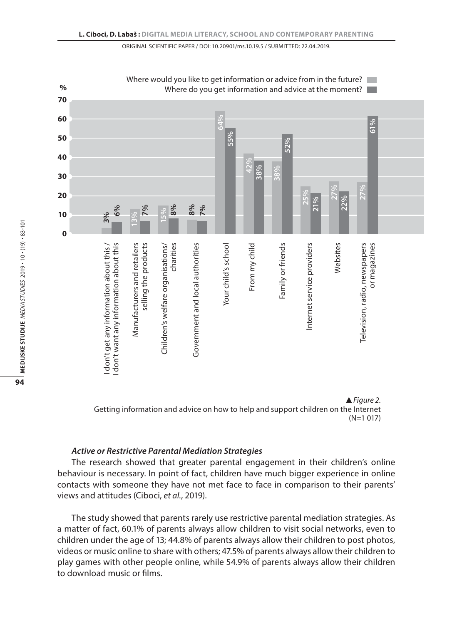



### *Active or Restrictive Parental Mediation Strategies*

The research showed that greater parental engagement in their children's online behaviour is necessary. In point of fact, children have much bigger experience in online contacts with someone they have not met face to face in comparison to their parents' views and attitudes (Ciboci, *et al.*, 2019).

The study showed that parents rarely use restrictive parental mediation strategies. As a matter of fact, 60.1% of parents always allow children to visit social networks, even to children under the age of 13; 44.8% of parents always allow their children to post photos, videos or music online to share with others; 47.5% of parents always allow their children to play games with other people online, while 54.9% of parents always allow their children to download music or films.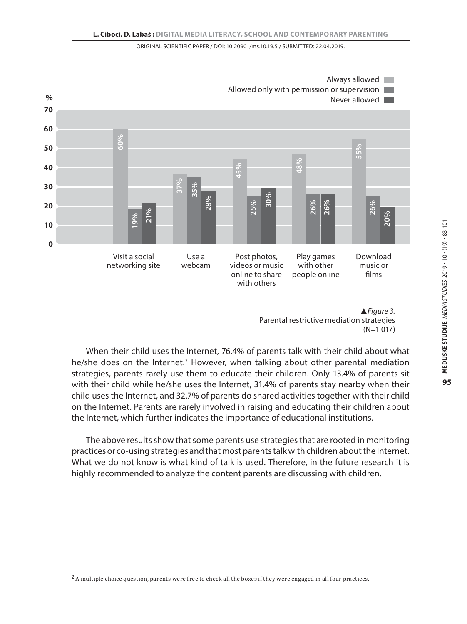

*Figure 3.* Parental restrictive mediation strategies (N=1 017)

When their child uses the Internet, 76.4% of parents talk with their child about what he/she does on the Internet.<sup>2</sup> However, when talking about other parental mediation strategies, parents rarely use them to educate their children. Only 13.4% of parents sit with their child while he/she uses the Internet, 31.4% of parents stay nearby when their child uses the Internet, and 32.7% of parents do shared activities together with their child on the Internet. Parents are rarely involved in raising and educating their children about the Internet, which further indicates the importance of educational institutions.

The above results show that some parents use strategies that are rooted in monitoring practices or co-using strategies and that most parents talk with children about the Internet. What we do not know is what kind of talk is used. Therefore, in the future research it is highly recommended to analyze the content parents are discussing with children.

 $<sup>2</sup>$  A multiple choice question, parents were free to check all the boxes if they were engaged in all four practices.</sup>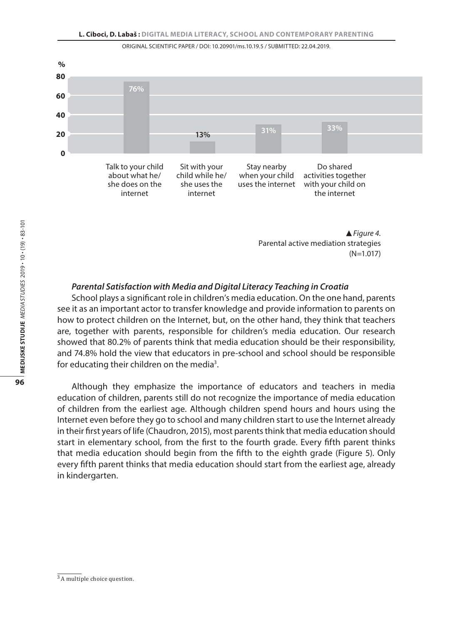

*Figure 4.*  Parental active mediation strategies (N=1.017)

## *Parental Satisfaction with Media and Digital Literacy Teaching in Croatia*

School plays a significant role in children's media education. On the one hand, parents see it as an important actor to transfer knowledge and provide information to parents on how to protect children on the Internet, but, on the other hand, they think that teachers are, together with parents, responsible for children's media education. Our research showed that 80.2% of parents think that media education should be their responsibility, and 74.8% hold the view that educators in pre-school and school should be responsible for educating their children on the media<sup>3</sup>.

Although they emphasize the importance of educators and teachers in media education of children, parents still do not recognize the importance of media education of children from the earliest age. Although children spend hours and hours using the Internet even before they go to school and many children start to use the Internet already in their first years of life (Chaudron, 2015), most parents think that media education should start in elementary school, from the first to the fourth grade. Every fifth parent thinks that media education should begin from the fifth to the eighth grade (Figure 5). Only every fifth parent thinks that media education should start from the earliest age, already in kindergarten.

<sup>3</sup> A multiple choice question.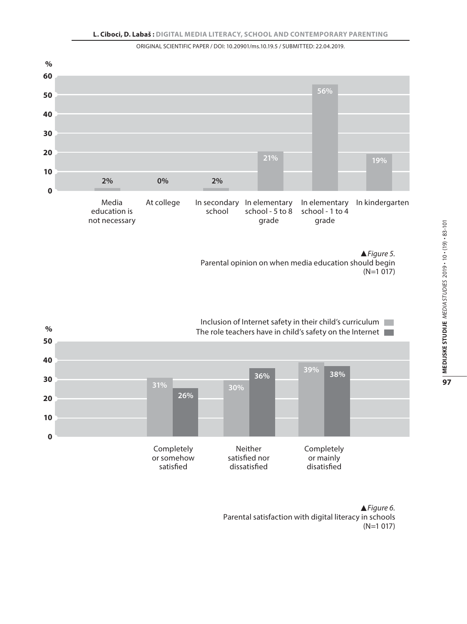



*Figure 6.* Parental satisfaction with digital literacy in schools (N=1 017)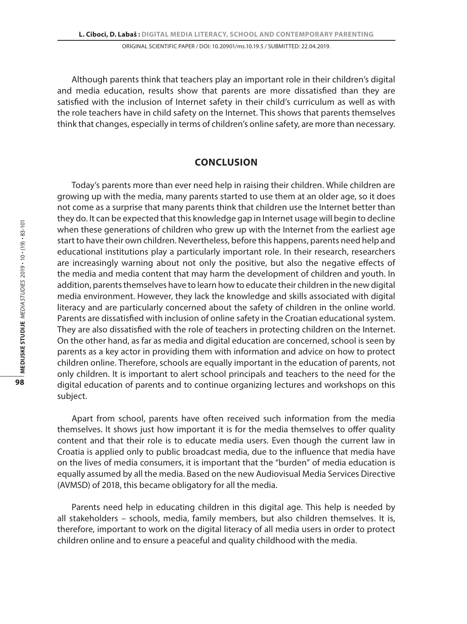Although parents think that teachers play an important role in their children's digital and media education, results show that parents are more dissatisfied than they are satisfied with the inclusion of Internet safety in their child's curriculum as well as with the role teachers have in child safety on the Internet. This shows that parents themselves think that changes, especially in terms of children's online safety, are more than necessary.

## **Conclusion**

Today's parents more than ever need help in raising their children. While children are growing up with the media, many parents started to use them at an older age, so it does not come as a surprise that many parents think that children use the Internet better than they do. It can be expected that this knowledge gap in Internet usage will begin to decline when these generations of children who grew up with the Internet from the earliest age start to have their own children. Nevertheless, before this happens, parents need help and educational institutions play a particularly important role. In their research, researchers are increasingly warning about not only the positive, but also the negative effects of the media and media content that may harm the development of children and youth. In addition, parents themselves have to learn how to educate their children in the new digital media environment. However, they lack the knowledge and skills associated with digital literacy and are particularly concerned about the safety of children in the online world. Parents are dissatisfied with inclusion of online safety in the Croatian educational system. They are also dissatisfied with the role of teachers in protecting children on the Internet. On the other hand, as far as media and digital education are concerned, school is seen by parents as a key actor in providing them with information and advice on how to protect children online. Therefore, schools are equally important in the education of parents, not only children. It is important to alert school principals and teachers to the need for the digital education of parents and to continue organizing lectures and workshops on this subject.

Apart from school, parents have often received such information from the media themselves. It shows just how important it is for the media themselves to offer quality content and that their role is to educate media users. Even though the current law in Croatia is applied only to public broadcast media, due to the influence that media have on the lives of media consumers, it is important that the "burden" of media education is equally assumed by all the media. Based on the new Audiovisual Media Services Directive (AVMSD) of 2018, this became obligatory for all the media.

Parents need help in educating children in this digital age. This help is needed by all stakeholders – schools, media, family members, but also children themselves. It is, therefore, important to work on the digital literacy of all media users in order to protect children online and to ensure a peaceful and quality childhood with the media.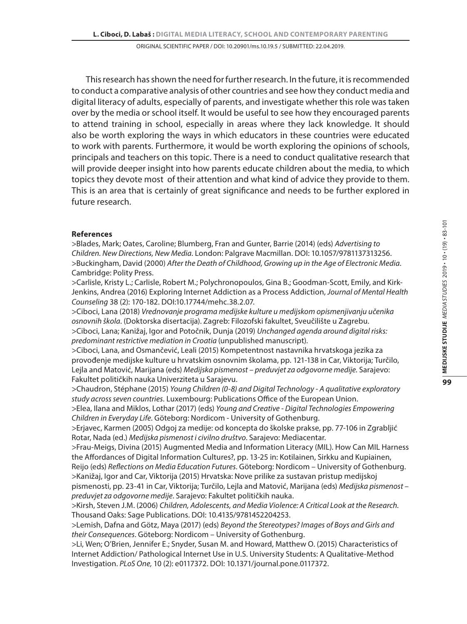This research has shown the need for further research. In the future, it is recommended to conduct a comparative analysis of other countries and see how they conduct media and digital literacy of adults, especially of parents, and investigate whether this role was taken over by the media or school itself. It would be useful to see how they encouraged parents to attend training in school, especially in areas where they lack knowledge. It should also be worth exploring the ways in which educators in these countries were educated to work with parents. Furthermore, it would be worth exploring the opinions of schools, principals and teachers on this topic. There is a need to conduct qualitative research that will provide deeper insight into how parents educate children about the media, to which topics they devote most of their attention and what kind of advice they provide to them. This is an area that is certainly of great significance and needs to be further explored in future research.

## **References**

>Blades, Mark; Oates, Caroline; Blumberg, Fran and Gunter, Barrie (2014) (eds) *Advertising to Children. New Directions, New Media*. London: Palgrave Macmillan. DOI: 10.1057/9781137313256. >Buckingham, David (2000) *After the Death of Childhood, Growing up in the Age of Electronic Media*. Cambridge: Polity Press.

>Carlisle, Kristy L.; Carlisle, Robert M.; Polychronopoulos, Gina B.; Goodman-Scott, Emily, and Kirk-Jenkins, Andrea (2016) Exploring Internet Addiction as a Process Addiction, *Journal of Mental Health Counseling* 38 (2): 170-182. DOI:10.17744/mehc.38.2.07.

>Ciboci, Lana (2018) *Vrednovanje programa medijske kulture u medijskom opismenjivanju učenika osnovnih škola*. (Doktorska disertacija). Zagreb: Filozofski fakultet, Sveučilište u Zagrebu.

>Ciboci, Lana; Kanižaj, Igor and Potočnik, Dunja (2019) *Unchanged agenda around digital risks: predominant restrictive mediation in Croatia* (unpublished manuscript)*.* 

>Ciboci, Lana, and Osmančević, Leali (2015) Kompetentnost nastavnika hrvatskoga jezika za provođenje medijske kulture u hrvatskim osnovnim školama, pp. 121-138 in Car, Viktorija; Turčilo, Lejla and Matović, Marijana (eds) *Medijska pismenost – preduvjet za odgovorne medije.* Sarajevo: Fakultet političkih nauka Univerziteta u Sarajevu.

>Chaudron, Stéphane (2015) *Young Children (0-8) and Digital Technology - A qualitative exploratory study across seven countries.* Luxembourg: Publications Office of the European Union.

>Elea, Ilana and Miklos, Lothar (2017) (eds) *Young and Creative - Digital Technologies Empowering Children in Everyday Life*. Göteborg: Nordicom - University of Gothenburg.

>Erjavec, Karmen (2005) Odgoj za medije: od koncepta do školske prakse, pp. 77-106 in Zgrabljić Rotar, Nada (ed.) *Medijska pismenost i civilno društvo*. Sarajevo: Mediacentar.

>Frau-Meigs, Divina (2015) Augmented Media and Information Literacy (MIL). How Can MIL Harness the Affordances of Digital Information Cultures?, pp. 13-25 in: Kotilainen, Sirkku and Kupiainen,

Reijo (eds) *Reflections on Media Education Futures*. Göteborg: Nordicom – University of Gothenburg. >Kanižaj, Igor and Car, Viktorija (2015) Hrvatska: Nove prilike za sustavan pristup medijskoj

pismenosti, pp. 23-41 in Car, Viktorija; Turčilo, Lejla and Matović, Marijana (eds) *Medijska pismenost – preduvjet za odgovorne medije*. Sarajevo: Fakultet političkih nauka.

>Kirsh, Steven J.M. (2006) *Children, Adolescents, and Media Violence: A Critical Look at the Research.*  Thousand Oaks: Sage Publications. DOI: 10.4135/9781452204253.

>Lemish, Dafna and Götz, Maya (2017) (eds) *Beyond the Stereotypes? Images of Boys and Girls and their Consequences*. Göteborg: Nordicom – University of Gothenburg.

>Li, Wen; O'Brien, Jennifer E.; Snyder, Susan M. and Howard, Matthew O. (2015) Characteristics of Internet Addiction/ Pathological Internet Use in U.S. University Students: A Qualitative-Method Investigation. *PLoS One,* 10 (2): e0117372. DOI: 10.1371/journal.pone.0117372.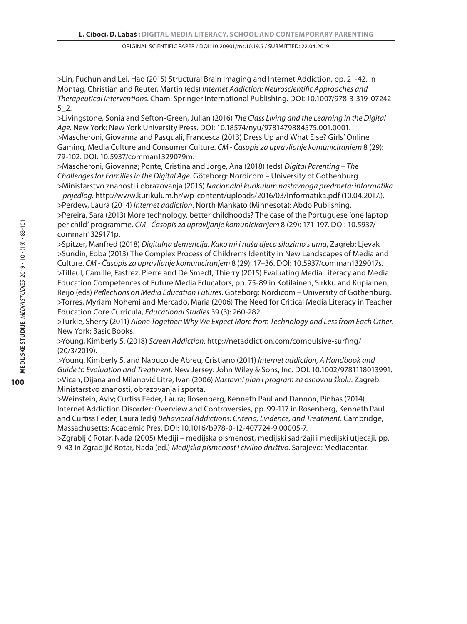>Lin, Fuchun and Lei, Hao (2015) Structural Brain Imaging and Internet Addiction, pp. 21-42. in Montag, Christian and Reuter, Martin (eds) *Internet Addiction: Neuroscientific Approaches and Therapeutical Interventions*. Cham: Springer International Publishing. DOI: 10.1007/978-3-319-07242- 5\_2.

>Livingstone, Sonia and Sefton-Green, Julian (2016) *The Class Living and the Learning in the Digital Age*. New York: New York University Press. DOI: 10.18574/nyu/9781479884575.001.0001. >Mascheroni, Giovanna and Pasquali, Francesca (2013) Dress Up and What Else? Girls' Online Gaming, Media Culture and Consumer Culture. *CM - Časopis za upravljanje komuniciranjem* 8 (29): 79-102. DOI: 10.5937/comman1329079m.

>Mascheroni, Giovanna; Ponte, Cristina and Jorge, Ana (2018) (eds) *Digital Parenting – The Challenges for Families in the Digital Age*. Göteborg: Nordicom – University of Gothenburg. >Ministarstvo znanosti i obrazovanja (2016) *Nacionalni kurikulum nastavnoga predmeta: informatika – prijedlog*. http://www.kurikulum.hr/wp-content/uploads/2016/03/Informatika.pdf (10.04.2017.).

>Perdew, Laura (2014) *Internet addiction*. North Mankato (Minnesota): Abdo Publishing. >Pereira, Sara (2013) More technology, better childhoods? The case of the Portuguese 'one laptop per child' programme. *CM - Časopis za upravljanje komuniciranjem* 8 (29): 171-197. DOI: 10.5937/ comman1329171p.

>Spitzer, Manfred (2018) *Digitalna demencija. Kako mi i naša djeca silazimo s uma*, Zagreb: Ljevak >Sundin, Ebba (2013) The Complex Process of Children's Identity in New Landscapes of Media and Culture. *CM - Časopis za upravljanje komuniciranjem* 8 (29): 17–36. DOI: 10.5937/comman1329017s. >Tilleul, Camille; Fastrez, Pierre and De Smedt, Thierry (2015) Evaluating Media Literacy and Media Education Competences of Future Media Educators, pp. 75-89 in Kotilainen, Sirkku and Kupiainen, Reijo (eds) *Reflections on Media Education Futures*. Göteborg: Nordicom – University of Gothenburg. >Torres, Myriam Nohemi and Mercado, Maria (2006) The Need for Critical Media Literacy in Teacher Education Core Curricula, *Educational Studies* 39 (3): 260-282.

>Turkle, Sherry (2011) *Alone Together: Why We Expect More from Technology and Less from Each Other*. New York: Basic Books.

>Young, Kimberly S. (2018) *Screen Addiction*. http://netaddiction.com/compulsive-surfing/ (20/3/2019).

>Young, Kimberly S. and Nabuco de Abreu, Cristiano (2011) *Internet addiction, A Handbook and Guide to Evaluation and Treatment*. New Jersey: John Wiley & Sons, Inc. DOI: 10.1002/9781118013991. >Vican, Dijana and Milanović Litre, Ivan (2006) *Nastavni plan i program za osnovnu školu*. Zagreb: Ministarstvo znanosti, obrazovanja i sporta.

>Weinstein, Aviv; Curtiss Feder, Laura; Rosenberg, Kenneth Paul and Dannon, Pinhas (2014) Internet Addiction Disorder: Overview and Controversies, pp. 99-117 in Rosenberg, Kenneth Paul and Curtiss Feder, Laura (eds) *Behavioral Addictions: Criteria, Evidence, and Treatment*. Cambridge, Massachusetts: Academic Pres. DOI: 10.1016/b978-0-12-407724-9.00005-7.

>Zgrabljić Rotar, Nada (2005) Mediji – medijska pismenost, medijski sadržaji i medijski utjecaji, pp. 9-43 in Zgrabljić Rotar, Nada (ed.) *Medijska pismenost i civilno društvo*. Sarajevo: Mediacentar.